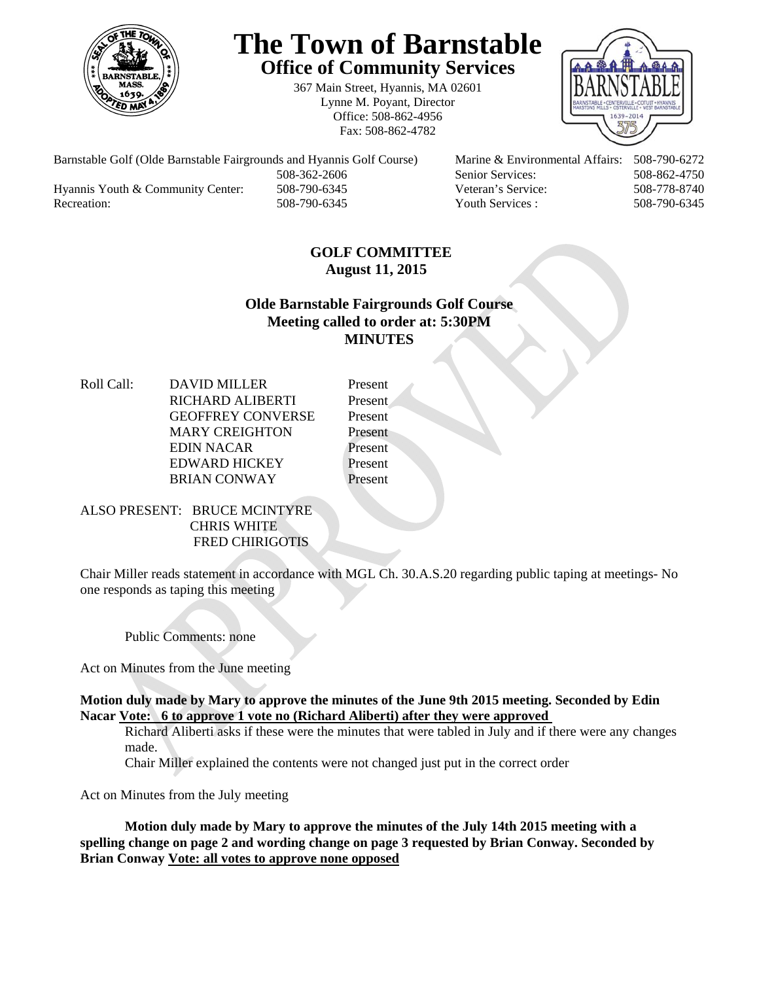

# **The Town of Barnstable Office of Community Services**

367 Main Street, Hyannis, MA 02601 Lynne M. Poyant, Director Office: 508-862-4956 Fax: 508-862-4782



Barnstable Golf (Olde Barnstable Fairgrounds and Hyannis Golf Course) Marine & Environmental Affairs: 508-790-6272 508-362-2606 Senior Services: 508-862-4750 Hyannis Youth & Community Center: 508-790-6345 Veteran's Service: 508-778-8740 Recreation: 508-790-6345 Youth Services : 508-790-6345 S08-790-6345

## **GOLF COMMITTEE August 11, 2015**

## **Olde Barnstable Fairgrounds Golf Course Meeting called to order at: 5:30PM MINUTES**

Roll Call: DAVID MILLER Present RICHARD ALIBERTI Present GEOFFREY CONVERSE Present MARY CREIGHTON Present EDIN NACAR Present EDWARD HICKEY Present BRIAN CONWAY Present

#### ALSO PRESENT: BRUCE MCINTYRE CHRIS WHITE FRED CHIRIGOTIS

Chair Miller reads statement in accordance with MGL Ch. 30.A.S.20 regarding public taping at meetings- No one responds as taping this meeting

Public Comments: none

Act on Minutes from the June meeting

#### **Motion duly made by Mary to approve the minutes of the June 9th 2015 meeting. Seconded by Edin Nacar Vote: 6 to approve 1 vote no (Richard Aliberti) after they were approved**

Richard Aliberti asks if these were the minutes that were tabled in July and if there were any changes made.

Chair Miller explained the contents were not changed just put in the correct order

Act on Minutes from the July meeting

**Motion duly made by Mary to approve the minutes of the July 14th 2015 meeting with a spelling change on page 2 and wording change on page 3 requested by Brian Conway. Seconded by Brian Conway Vote: all votes to approve none opposed**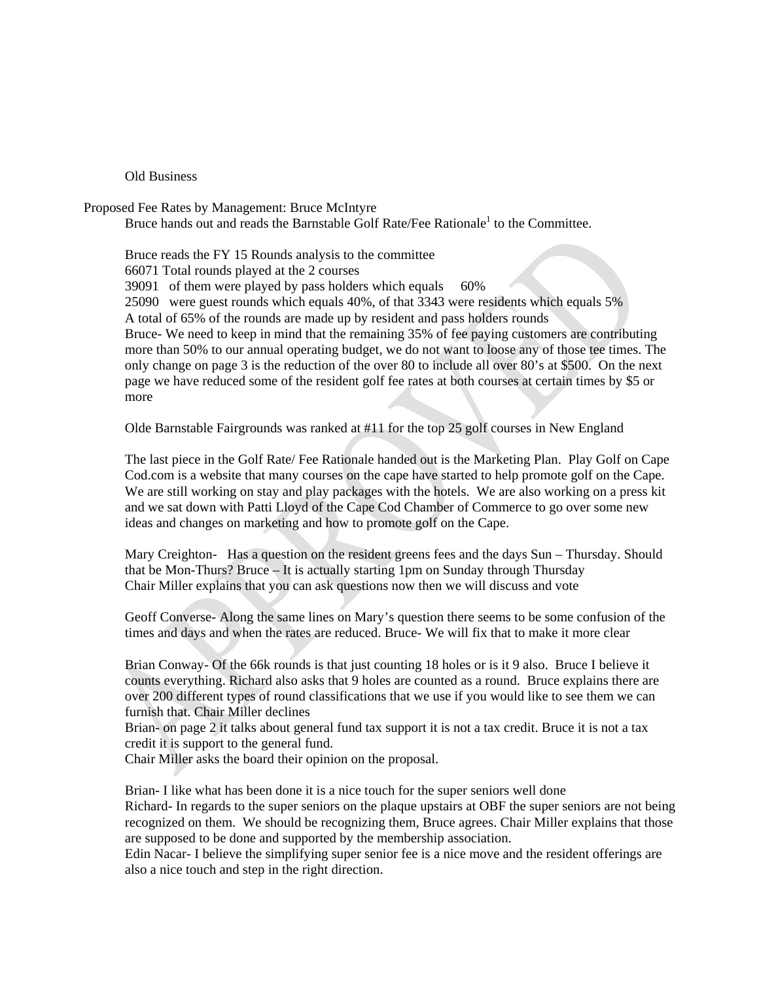#### Old Business

Proposed Fee Rates by Management: Bruce McIntyre

Bruce hands out and reads the Barnstable Golf Rate/Fee Rationale<sup>1</sup> to the Committee.

Bruce reads the FY 15 Rounds analysis to the committee

66071 Total rounds played at the 2 courses

39091 of them were played by pass holders which equals 60%

25090 were guest rounds which equals 40%, of that 3343 were residents which equals 5%

A total of 65% of the rounds are made up by resident and pass holders rounds

Bruce- We need to keep in mind that the remaining 35% of fee paying customers are contributing more than 50% to our annual operating budget, we do not want to loose any of those tee times. The only change on page 3 is the reduction of the over 80 to include all over 80's at \$500. On the next page we have reduced some of the resident golf fee rates at both courses at certain times by \$5 or more

Olde Barnstable Fairgrounds was ranked at #11 for the top 25 golf courses in New England

The last piece in the Golf Rate/ Fee Rationale handed out is the Marketing Plan. Play Golf on Cape Cod.com is a website that many courses on the cape have started to help promote golf on the Cape. We are still working on stay and play packages with the hotels. We are also working on a press kit and we sat down with Patti Lloyd of the Cape Cod Chamber of Commerce to go over some new ideas and changes on marketing and how to promote golf on the Cape.

Mary Creighton- Has a question on the resident greens fees and the days Sun – Thursday. Should that be Mon-Thurs? Bruce – It is actually starting 1pm on Sunday through Thursday Chair Miller explains that you can ask questions now then we will discuss and vote

Geoff Converse- Along the same lines on Mary's question there seems to be some confusion of the times and days and when the rates are reduced. Bruce- We will fix that to make it more clear

Brian Conway- Of the 66k rounds is that just counting 18 holes or is it 9 also. Bruce I believe it counts everything. Richard also asks that 9 holes are counted as a round. Bruce explains there are over 200 different types of round classifications that we use if you would like to see them we can furnish that. Chair Miller declines

Brian- on page 2 it talks about general fund tax support it is not a tax credit. Bruce it is not a tax credit it is support to the general fund.

Chair Miller asks the board their opinion on the proposal.

Brian- I like what has been done it is a nice touch for the super seniors well done Richard- In regards to the super seniors on the plaque upstairs at OBF the super seniors are not being recognized on them. We should be recognizing them, Bruce agrees. Chair Miller explains that those are supposed to be done and supported by the membership association.

Edin Nacar- I believe the simplifying super senior fee is a nice move and the resident offerings are also a nice touch and step in the right direction.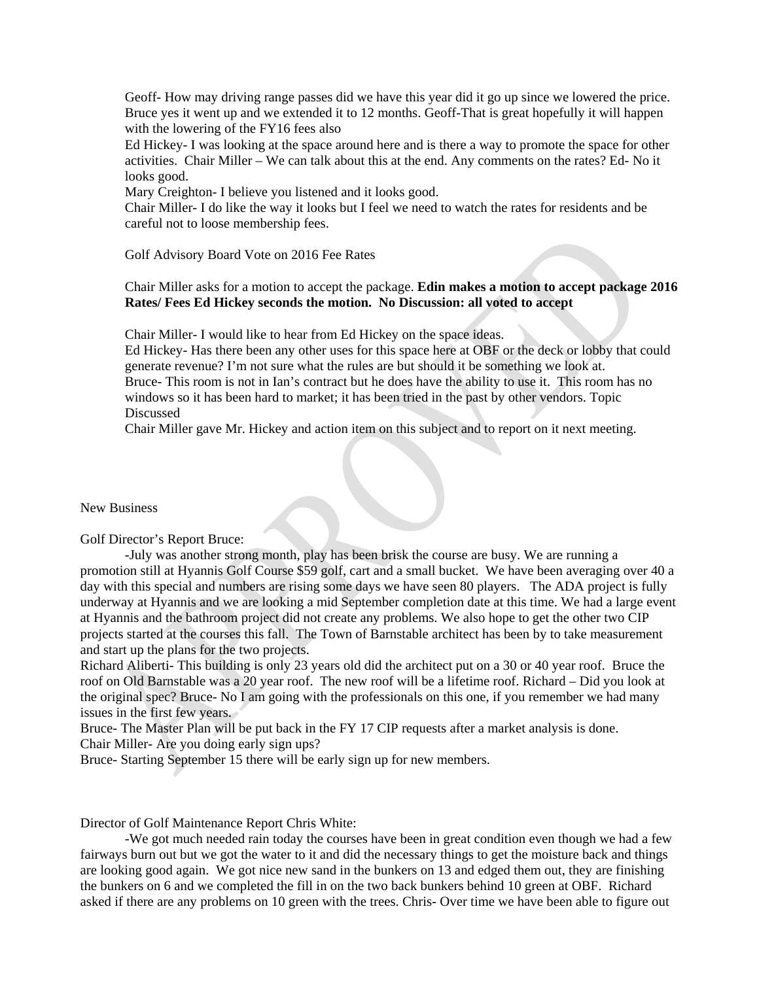Geoff- How may driving range passes did we have this year did it go up since we lowered the price. Bruce yes it went up and we extended it to 12 months. Geoff-That is great hopefully it will happen with the lowering of the FY16 fees also

Ed Hickey- I was looking at the space around here and is there a way to promote the space for other activities. Chair Miller – We can talk about this at the end. Any comments on the rates? Ed- No it looks good.

Mary Creighton- I believe you listened and it looks good.

Chair Miller- I do like the way it looks but I feel we need to watch the rates for residents and be careful not to loose membership fees.

Golf Advisory Board Vote on 2016 Fee Rates

Chair Miller asks for a motion to accept the package. **Edin makes a motion to accept package 2016 Rates/ Fees Ed Hickey seconds the motion. No Discussion: all voted to accept** 

Chair Miller- I would like to hear from Ed Hickey on the space ideas.

Ed Hickey- Has there been any other uses for this space here at OBF or the deck or lobby that could generate revenue? I'm not sure what the rules are but should it be something we look at. Bruce- This room is not in Ian's contract but he does have the ability to use it. This room has no windows so it has been hard to market; it has been tried in the past by other vendors. Topic Discussed

Chair Miller gave Mr. Hickey and action item on this subject and to report on it next meeting.

New Business

Golf Director's Report Bruce:

 -July was another strong month, play has been brisk the course are busy. We are running a promotion still at Hyannis Golf Course \$59 golf, cart and a small bucket. We have been averaging over 40 a day with this special and numbers are rising some days we have seen 80 players. The ADA project is fully underway at Hyannis and we are looking a mid September completion date at this time. We had a large event at Hyannis and the bathroom project did not create any problems. We also hope to get the other two CIP projects started at the courses this fall. The Town of Barnstable architect has been by to take measurement and start up the plans for the two projects.

Richard Aliberti- This building is only 23 years old did the architect put on a 30 or 40 year roof. Bruce the roof on Old Barnstable was a 20 year roof. The new roof will be a lifetime roof. Richard – Did you look at the original spec? Bruce- No I am going with the professionals on this one, if you remember we had many issues in the first few years.

Bruce- The Master Plan will be put back in the FY 17 CIP requests after a market analysis is done. Chair Miller- Are you doing early sign ups?

Bruce- Starting September 15 there will be early sign up for new members.

Director of Golf Maintenance Report Chris White:

 -We got much needed rain today the courses have been in great condition even though we had a few fairways burn out but we got the water to it and did the necessary things to get the moisture back and things are looking good again. We got nice new sand in the bunkers on 13 and edged them out, they are finishing the bunkers on 6 and we completed the fill in on the two back bunkers behind 10 green at OBF. Richard asked if there are any problems on 10 green with the trees. Chris- Over time we have been able to figure out